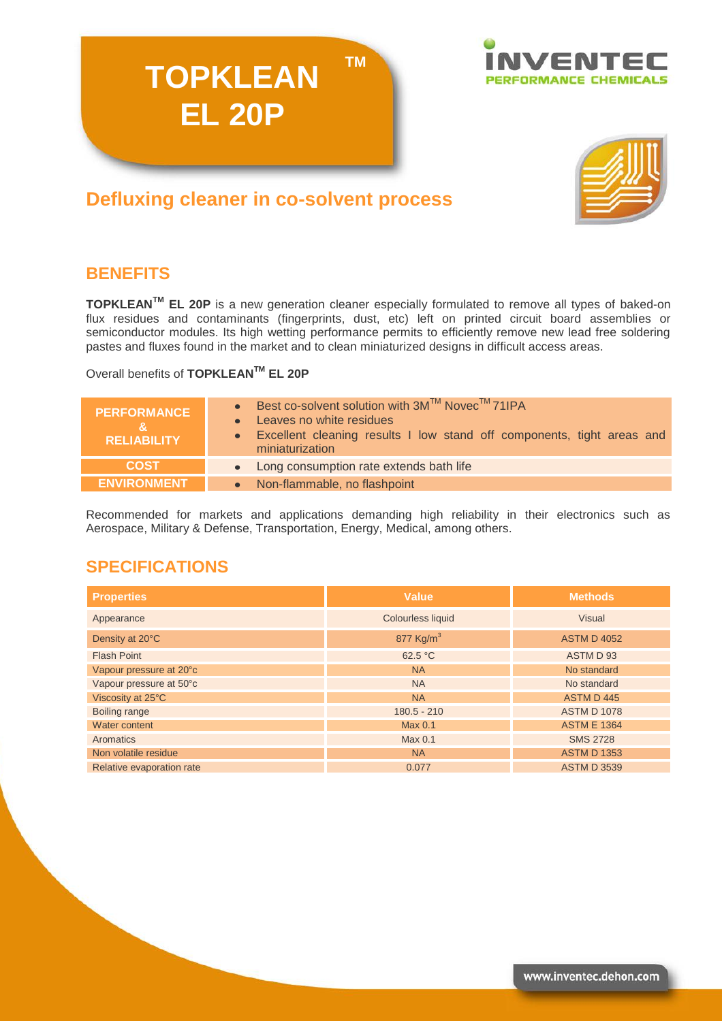



# **Defluxing cleaner in co-solvent process**

**TOPKLEAN**

**EL 20P**

## **BENEFITS**

**TOPKLEANTM EL 20P** is a new generation cleaner especially formulated to remove all types of baked-on flux residues and contaminants (fingerprints, dust, etc) left on printed circuit board assemblies or semiconductor modules. Its high wetting performance permits to efficiently remove new lead free soldering pastes and fluxes found in the market and to clean miniaturized designs in difficult access areas.

**TM**

Overall benefits of **TOPKLEANTM EL 20P**

| <b>PERFORMANCE</b><br><b>RELIABILITY</b> | • Best co-solvent solution with $3M^{TM}$ Novec <sup>TM</sup> 71IPA<br>Leaves no white residues<br>$\bullet$<br>• Excellent cleaning results I low stand off components, tight areas and<br>miniaturization |
|------------------------------------------|-------------------------------------------------------------------------------------------------------------------------------------------------------------------------------------------------------------|
| <b>COST</b>                              | • Long consumption rate extends bath life                                                                                                                                                                   |
| <b>ENVIRONMENT</b>                       | Non-flammable, no flashpoint<br>$\bullet$                                                                                                                                                                   |

Recommended for markets and applications demanding high reliability in their electronics such as Aerospace, Military & Defense, Transportation, Energy, Medical, among others.

## **SPECIFICATIONS**

| <b>Properties</b>         | <b>Value</b>          | <b>Methods</b>     |
|---------------------------|-----------------------|--------------------|
| Appearance                | Colourless liquid     | Visual             |
| Density at 20°C           | 877 Kg/m <sup>3</sup> | <b>ASTM D 4052</b> |
| <b>Flash Point</b>        | 62.5 °C               | ASTM D 93          |
| Vapour pressure at 20°c   | <b>NA</b>             | No standard        |
| Vapour pressure at 50°c   | <b>NA</b>             | No standard        |
| Viscosity at 25°C         | <b>NA</b>             | ASTM D445          |
| Boiling range             | $180.5 - 210$         | <b>ASTM D 1078</b> |
| Water content             | Max 0.1               | <b>ASTM E 1364</b> |
| Aromatics                 | Max <sub>0.1</sub>    | <b>SMS 2728</b>    |
| Non volatile residue      | <b>NA</b>             | <b>ASTM D 1353</b> |
| Relative evaporation rate | 0.077                 | <b>ASTM D 3539</b> |